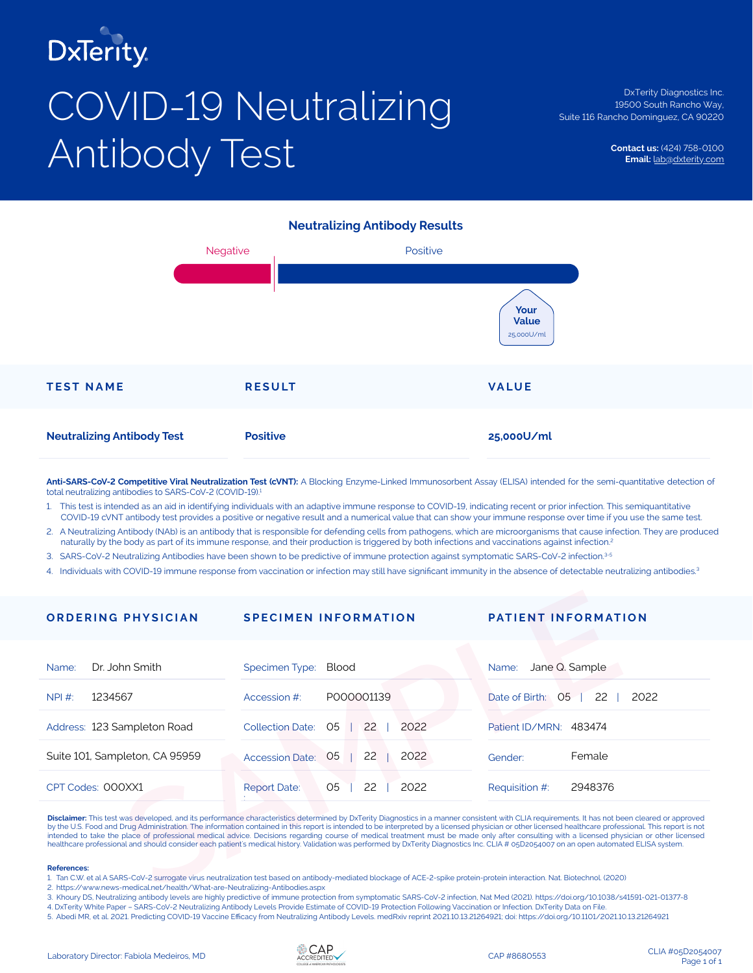

# COVID-19 Neutralizing Antibody Test

DxTerity Diagnostics Inc. 19500 South Rancho Way, Suite 116 Rancho Dominguez, CA 90220

> **Contact us:** (424) 758-0100 **Email:** lab@dxterity.com

## **Neutralizing Antibody Results**



**Anti-SARS-CoV-2 Competitive Viral Neutralization Test (cVNT):** A Blocking Enzyme-Linked Immunosorbent Assay (ELISA) intended for the semi-quantitative detection of total neutralizing antibodies to SARS-CoV-2 (COVID-19).

1. This test is intended as an aid in identifying individuals with an adaptive immune response to COVID-19, indicating recent or prior infection. This semiquantitative COVID-19 cVNT antibody test provides a positive or negative result and a numerical value that can show your immune response over time if you use the same test.

2. A Neutralizing Antibody (NAb) is an antibody that is responsible for defending cells from pathogens, which are microorganisms that cause infection. They are produced naturally by the body as part of its immune response, and their production is triggered by both infections and vaccinations against infection.2

3. SARS-CoV-2 Neutralizing Antibodies have been shown to be predictive of immune protection against symptomatic SARS-CoV-2 infection.3-5

4. Individuals with COVID-19 immune response from vaccination or infection may still have significant immunity in the absence of detectable neutralizing antibodies.<sup>3</sup>

| <b>ORDERING PHYSICIAN</b>                                                                                                                                                                                                                                                                                                                                                                                                                                                                                                                                                                                                                                                                                                                                                                       | <b>SPECIMEN INFORMATION</b>                                                                                                                                                | <b>PATIENT INFORMATION</b>                     |  |  |  |
|-------------------------------------------------------------------------------------------------------------------------------------------------------------------------------------------------------------------------------------------------------------------------------------------------------------------------------------------------------------------------------------------------------------------------------------------------------------------------------------------------------------------------------------------------------------------------------------------------------------------------------------------------------------------------------------------------------------------------------------------------------------------------------------------------|----------------------------------------------------------------------------------------------------------------------------------------------------------------------------|------------------------------------------------|--|--|--|
| Dr. John Smith<br>Name:                                                                                                                                                                                                                                                                                                                                                                                                                                                                                                                                                                                                                                                                                                                                                                         | Specimen Type:<br>Blood                                                                                                                                                    | Jane Q. Sample<br>Name:                        |  |  |  |
| 1234567<br>NPI #:                                                                                                                                                                                                                                                                                                                                                                                                                                                                                                                                                                                                                                                                                                                                                                               | P000001139<br>Accession #:                                                                                                                                                 | Date of Birth:<br>O <sub>5</sub><br>2022<br>22 |  |  |  |
| Address: 123 Sampleton Road                                                                                                                                                                                                                                                                                                                                                                                                                                                                                                                                                                                                                                                                                                                                                                     | 22<br>2022<br>05<br><b>Collection Date:</b>                                                                                                                                | Patient ID/MRN: 483474                         |  |  |  |
| Suite 101, Sampleton, CA 95959                                                                                                                                                                                                                                                                                                                                                                                                                                                                                                                                                                                                                                                                                                                                                                  | 2022<br>$05 \mid$<br>22<br><b>Accession Date:</b>                                                                                                                          | Female<br>Gender:                              |  |  |  |
| CPT Codes: 000XX1                                                                                                                                                                                                                                                                                                                                                                                                                                                                                                                                                                                                                                                                                                                                                                               | 22<br>2022<br>O <sub>5</sub><br><b>Report Date:</b>                                                                                                                        | 2948376<br>Requisition #:                      |  |  |  |
| Disclaimer: This test was developed, and its performance characteristics determined by DxTerity Diagnostics in a manner consistent with CLIA requirements. It has not been cleared or approved<br>by the U.S. Food and Drug Administration. The information contained in this report is intended to be interpreted by a licensed physician or other licensed healthcare professional. This report is not<br>intended to take the place of professional medical advice. Decisions regarding course of medical treatment must be made only after consulting with a licensed physician or other licensed<br>healthcare professional and should consider each patient's medical history. Validation was performed by DxTerity Diagnostics Inc. CLIA # 05D2054007 on an open automated ELISA system. |                                                                                                                                                                            |                                                |  |  |  |
| <b>References:</b><br>2. https://www.news-medical.net/health/What-are-Neutralizing-Antibodies.aspx                                                                                                                                                                                                                                                                                                                                                                                                                                                                                                                                                                                                                                                                                              | 1. Tan C.W. et al A SARS-CoV-2 surrogate virus neutralization test based on antibody-mediated blockage of ACE-2-spike protein-protein interaction. Nat. Biotechnol. (2020) |                                                |  |  |  |

### **References:**

3. Khoury DS, Neutralizing antibody levels are highly predictive of immune protection from symptomatic SARS-CoV-2 infection, Nat Med (2021). https://doi.org/10.1038/s41591-021-01377-8

4. DxTerity White Paper – SARS-CoV-2 Neutralizing Antibody Levels Provide Estimate of COVID-19 Protection Following Vaccination or Infection. DxTerity Data on File.

5. Abedi MR, et al. 2021. Predicting COVID-19 Vaccine Efficacy from Neutralizing Antibody Levels. medRxiv reprint 2021.10.13.21264921; doi: https://doi.org/10.1101/2021.10.13.21264921



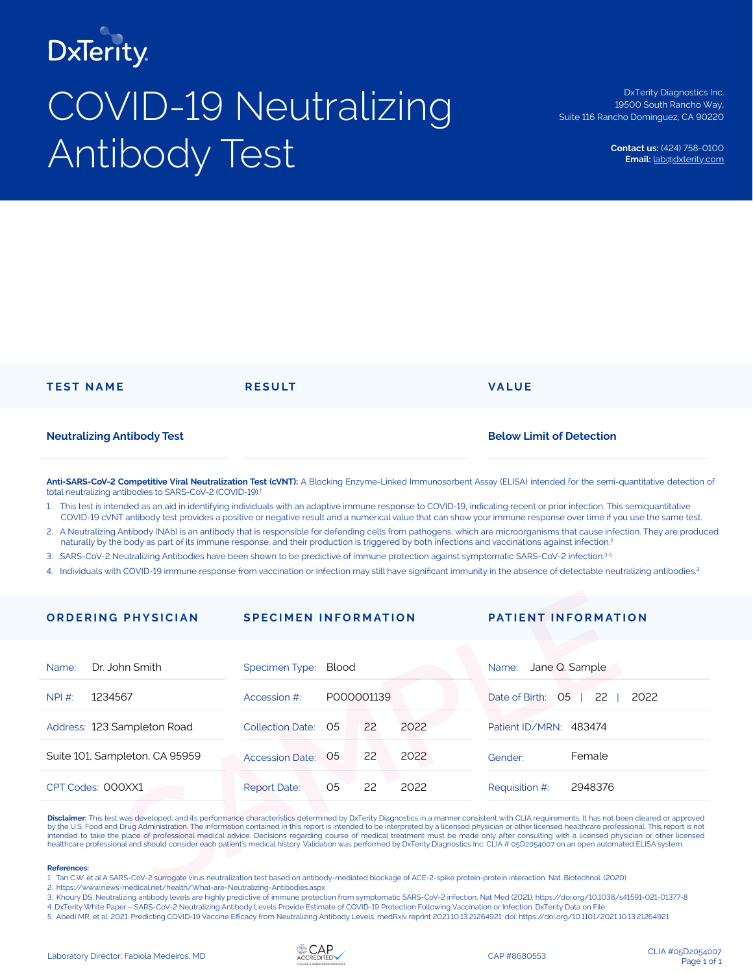

# COVID-19 Neutralizing Antibody Test

DxTerity Diagnostics Inc. 19500 South Rancho Way, Suite 116 Rancho Dominguez, CA 90220

> **Contact us:** (424) 758-0100 **Email:** lab@dxterity.com

| <b>TEST NAME</b>                  | <b>RESULT</b> | <b>VALUE</b>                    |
|-----------------------------------|---------------|---------------------------------|
| <b>Neutralizing Antibody Test</b> |               | <b>Below Limit of Detection</b> |

**Anti-SARS-CoV-2 Competitive Viral Neutralization Test (cVNT):** A Blocking Enzyme-Linked Immunosorbent Assay (ELISA) intended for the semi-quantitative detection of total neutralizing antibodies to SARS-CoV-2 (COVID-19).<sup>1</sup>

- 1. This test is intended as an aid in identifying individuals with an adaptive immune response to COVID-19, indicating recent or prior infection. This semiquantitative COVID-19 cVNT antibody test provides a positive or negative result and a numerical value that can show your immune response over time if you use the same test.
- 2. A Neutralizing Antibody (NAb) is an antibody that is responsible for defending cells from pathogens, which are microorganisms that cause infection. They are produced naturally by the body as part of its immune response, and their production is triggered by both infections and vaccinations against infection.2
- 3. SARS-CoV-2 Neutralizing Antibodies have been shown to be predictive of immune protection against symptomatic SARS-CoV-2 infection.3-5
- 4. Individuals with COVID-19 immune response from vaccination or infection may still have significant immunity in the absence of detectable neutralizing antibodies.<sup>3</sup>

| <b>ORDERING PHYSICIAN</b>                                                                                                                                                                                                                                                                                                                                                                                                                                                                                                                                                                                                                                                                                                                                                                       | <b>SPECIMEN INFORMATION</b> |                |            |      |                        | <b>PATIENT INFORMATION</b>   |
|-------------------------------------------------------------------------------------------------------------------------------------------------------------------------------------------------------------------------------------------------------------------------------------------------------------------------------------------------------------------------------------------------------------------------------------------------------------------------------------------------------------------------------------------------------------------------------------------------------------------------------------------------------------------------------------------------------------------------------------------------------------------------------------------------|-----------------------------|----------------|------------|------|------------------------|------------------------------|
| Dr. John Smith<br>Name:                                                                                                                                                                                                                                                                                                                                                                                                                                                                                                                                                                                                                                                                                                                                                                         | Specimen Type:<br>Blood     |                |            |      | Name:                  | Jane Q. Sample               |
| 1234567<br>NPI #:                                                                                                                                                                                                                                                                                                                                                                                                                                                                                                                                                                                                                                                                                                                                                                               | Accession #:                |                | P000001139 |      | Date of Birth:         | O <sub>5</sub><br>2022<br>22 |
| Address: 123 Sampleton Road                                                                                                                                                                                                                                                                                                                                                                                                                                                                                                                                                                                                                                                                                                                                                                     | <b>Collection Date:</b>     | O5             | 22         | 2022 | Patient ID/MRN: 483474 |                              |
| Suite 101, Sampleton, CA 95959                                                                                                                                                                                                                                                                                                                                                                                                                                                                                                                                                                                                                                                                                                                                                                  | <b>Accession Date:</b>      | O <sub>5</sub> | 22         | 2022 | Gender:                | Female                       |
| CPT Codes: 000XX1                                                                                                                                                                                                                                                                                                                                                                                                                                                                                                                                                                                                                                                                                                                                                                               | <b>Report Date:</b>         | O <sub>5</sub> | 22         | 2022 | Requisition #:         | 2948376                      |
| Disclaimer: This test was developed, and its performance characteristics determined by DxTerity Diagnostics in a manner consistent with CLIA requirements. It has not been cleared or approved<br>by the U.S. Food and Drug Administration. The information contained in this report is intended to be interpreted by a licensed physician or other licensed healthcare professional. This report is not<br>intended to take the place of professional medical advice. Decisions regarding course of medical treatment must be made only after consulting with a licensed physician or other licensed<br>healthcare professional and should consider each patient's medical history. Validation was performed by DxTerity Diagnostics Inc. CLIA # 05D2054007 on an open automated ELISA system. |                             |                |            |      |                        |                              |
| <b>References:</b><br>1. Tan C.W. et al A SARS-CoV-2 surrogate virus neutralization test based on antibody-mediated blockage of ACE-2-spike protein-protein interaction. Nat. Biotechnol. (2020)<br>2. https://www.news-medical.net/health/What-are-Neutralizing-Antibodies.aspx                                                                                                                                                                                                                                                                                                                                                                                                                                                                                                                |                             |                |            |      |                        |                              |

### **References:**

3. Khoury DS, Neutralizing antibody levels are highly predictive of immune protection from symptomatic SARS-CoV-2 infection, Nat Med (2021). https://doi.org/10.1038/s41591-021-01377-8

4. DxTerity White Paper – SARS-CoV-2 Neutralizing Antibody Levels Provide Estimate of COVID-19 Protection Following Vaccination or Infection. DxTerity Data on File.

5. Abedi MR, et al. 2021. Predicting COVID-19 Vaccine Efficacy from Neutralizing Antibody Levels. medRxiv reprint 2021.10.13.21264921; doi: https://doi.org/10.1101/2021.10.13.21264921